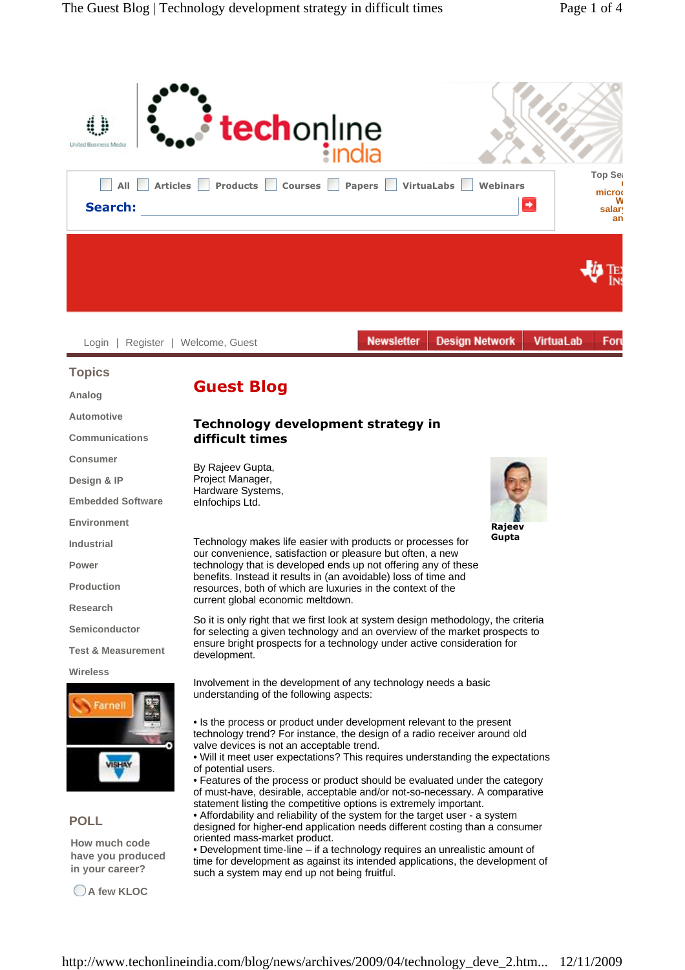

**Gupta** 

Technology makes life easier with products or processes for our convenience, satisfaction or pleasure but often, a new technology that is developed ends up not offering any of these benefits. Instead it results in (an avoidable) loss of time and resources, both of which are luxuries in the context of the current global economic meltdown.

So it is only right that we first look at system design methodology, the criteria for selecting a given technology and an overview of the market prospects to ensure bright prospects for a technology under active consideration for development.

Involvement in the development of any technology needs a basic understanding of the following aspects:

- Is the process or product under development relevant to the present technology trend? For instance, the design of a radio receiver around old valve devices is not an acceptable trend.
- Will it meet user expectations? This requires understanding the expectations of potential users.
- Features of the process or product should be evaluated under the category of must-have, desirable, acceptable and/or not-so-necessary. A comparative statement listing the competitive options is extremely important.
- Affordability and reliability of the system for the target user a system designed for higher-end application needs different costing than a consumer oriented mass-market product.

• Development time-line – if a technology requires an unrealistic amount of time for development as against its intended applications, the development of such a system may end up not being fruitful.

**POLL**

**Industrial Power**

**Production Research**

**Wireless**

**Semiconductor**

**Test & Measurement**

**How much code have you produced in your career?** 

**A few KLOC**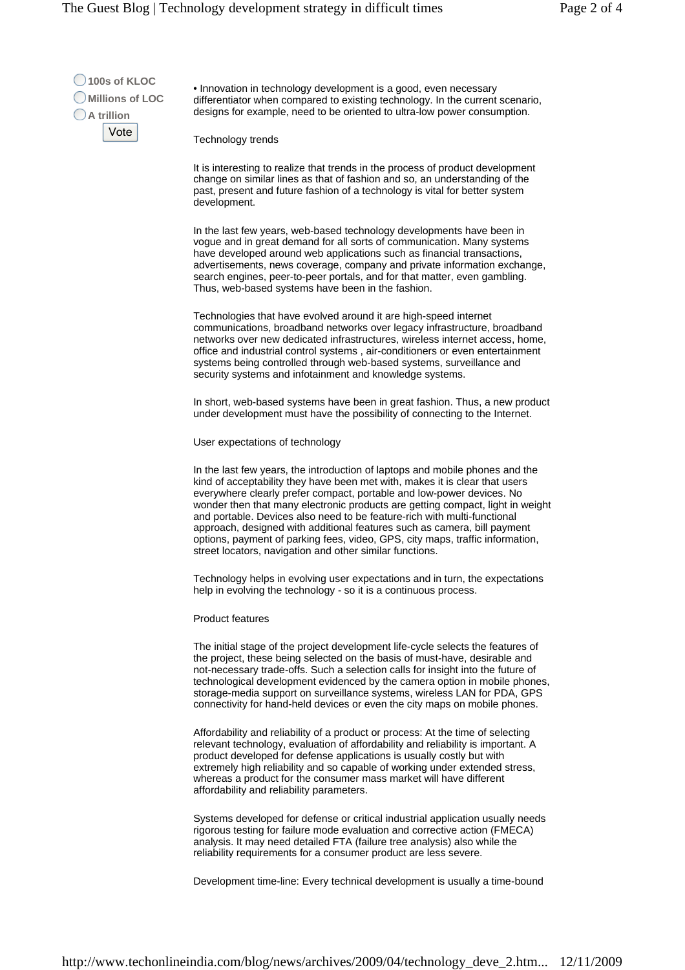**100s of KLOC Millions of LOC A trillion**  Vote

• Innovation in technology development is a good, even necessary differentiator when compared to existing technology. In the current scenario, designs for example, need to be oriented to ultra-low power consumption.

Technology trends

It is interesting to realize that trends in the process of product development change on similar lines as that of fashion and so, an understanding of the past, present and future fashion of a technology is vital for better system development.

In the last few years, web-based technology developments have been in vogue and in great demand for all sorts of communication. Many systems have developed around web applications such as financial transactions, advertisements, news coverage, company and private information exchange, search engines, peer-to-peer portals, and for that matter, even gambling. Thus, web-based systems have been in the fashion.

Technologies that have evolved around it are high-speed internet communications, broadband networks over legacy infrastructure, broadband networks over new dedicated infrastructures, wireless internet access, home, office and industrial control systems , air-conditioners or even entertainment systems being controlled through web-based systems, surveillance and security systems and infotainment and knowledge systems.

In short, web-based systems have been in great fashion. Thus, a new product under development must have the possibility of connecting to the Internet.

User expectations of technology

In the last few years, the introduction of laptops and mobile phones and the kind of acceptability they have been met with, makes it is clear that users everywhere clearly prefer compact, portable and low-power devices. No wonder then that many electronic products are getting compact, light in weight and portable. Devices also need to be feature-rich with multi-functional approach, designed with additional features such as camera, bill payment options, payment of parking fees, video, GPS, city maps, traffic information, street locators, navigation and other similar functions.

Technology helps in evolving user expectations and in turn, the expectations help in evolving the technology - so it is a continuous process.

## Product features

The initial stage of the project development life-cycle selects the features of the project, these being selected on the basis of must-have, desirable and not-necessary trade-offs. Such a selection calls for insight into the future of technological development evidenced by the camera option in mobile phones, storage-media support on surveillance systems, wireless LAN for PDA, GPS connectivity for hand-held devices or even the city maps on mobile phones.

Affordability and reliability of a product or process: At the time of selecting relevant technology, evaluation of affordability and reliability is important. A product developed for defense applications is usually costly but with extremely high reliability and so capable of working under extended stress, whereas a product for the consumer mass market will have different affordability and reliability parameters.

Systems developed for defense or critical industrial application usually needs rigorous testing for failure mode evaluation and corrective action (FMECA) analysis. It may need detailed FTA (failure tree analysis) also while the reliability requirements for a consumer product are less severe.

Development time-line: Every technical development is usually a time-bound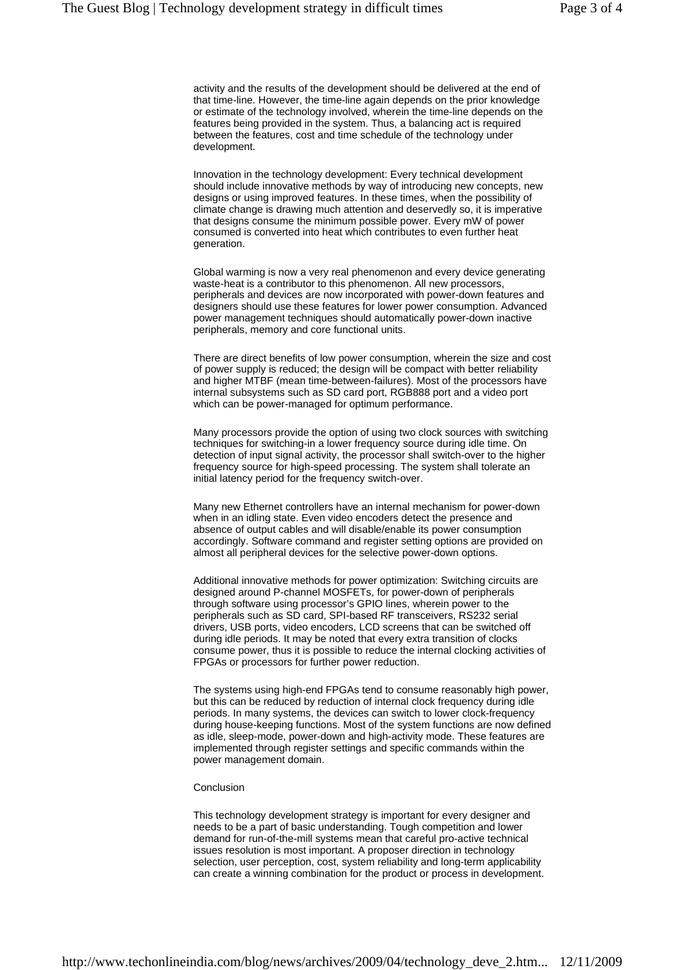activity and the results of the development should be delivered at the end of that time-line. However, the time-line again depends on the prior knowledge or estimate of the technology involved, wherein the time-line depends on the features being provided in the system. Thus, a balancing act is required between the features, cost and time schedule of the technology under development.

Innovation in the technology development: Every technical development should include innovative methods by way of introducing new concepts, new designs or using improved features. In these times, when the possibility of climate change is drawing much attention and deservedly so, it is imperative that designs consume the minimum possible power. Every mW of power consumed is converted into heat which contributes to even further heat generation.

Global warming is now a very real phenomenon and every device generating waste-heat is a contributor to this phenomenon. All new processors, peripherals and devices are now incorporated with power-down features and designers should use these features for lower power consumption. Advanced power management techniques should automatically power-down inactive peripherals, memory and core functional units.

There are direct benefits of low power consumption, wherein the size and cost of power supply is reduced; the design will be compact with better reliability and higher MTBF (mean time-between-failures). Most of the processors have internal subsystems such as SD card port, RGB888 port and a video port which can be power-managed for optimum performance.

Many processors provide the option of using two clock sources with switching techniques for switching-in a lower frequency source during idle time. On detection of input signal activity, the processor shall switch-over to the higher frequency source for high-speed processing. The system shall tolerate an initial latency period for the frequency switch-over.

Many new Ethernet controllers have an internal mechanism for power-down when in an idling state. Even video encoders detect the presence and absence of output cables and will disable/enable its power consumption accordingly. Software command and register setting options are provided on almost all peripheral devices for the selective power-down options.

Additional innovative methods for power optimization: Switching circuits are designed around P-channel MOSFETs, for power-down of peripherals through software using processor's GPIO lines, wherein power to the peripherals such as SD card, SPI-based RF transceivers, RS232 serial drivers, USB ports, video encoders, LCD screens that can be switched off during idle periods. It may be noted that every extra transition of clocks consume power, thus it is possible to reduce the internal clocking activities of FPGAs or processors for further power reduction.

The systems using high-end FPGAs tend to consume reasonably high power, but this can be reduced by reduction of internal clock frequency during idle periods. In many systems, the devices can switch to lower clock-frequency during house-keeping functions. Most of the system functions are now defined as idle, sleep-mode, power-down and high-activity mode. These features are implemented through register settings and specific commands within the power management domain.

## Conclusion

This technology development strategy is important for every designer and needs to be a part of basic understanding. Tough competition and lower demand for run-of-the-mill systems mean that careful pro-active technical issues resolution is most important. A proposer direction in technology selection, user perception, cost, system reliability and long-term applicability can create a winning combination for the product or process in development.